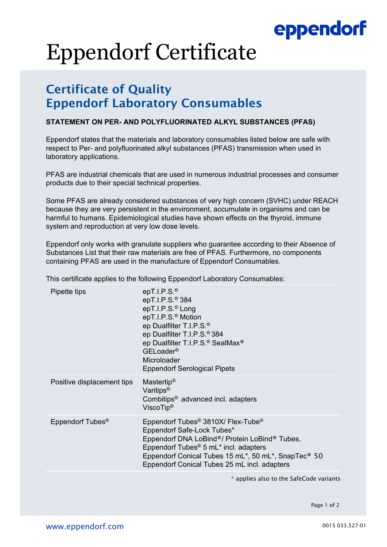## eppendorf

# Eppendorf Certificate

### Certificate of Quality Eppendorf Laboratory Consumables

#### **STATEMENT ON PER- AND POLYFLUORINATED ALKYL SUBSTANCES (PFAS)**

Eppendorf states that the materials and laboratory consumables listed below are safe with respect to Per- and polyfluorinated alkyl substances (PFAS) transmission when used in laboratory applications.

PFAS are industrial chemicals that are used in numerous industrial processes and consumer products due to their special technical properties.

Some PFAS are already considered substances of very high concern (SVHC) under REACH because they are very persistent in the environment, accumulate in organisms and can be harmful to humans. Epidemiological studies have shown effects on the thyroid, immune system and reproduction at very low dose levels.

Eppendorf only works with granulate suppliers who guarantee according to their Absence of Substances List that their raw materials are free of PFAS. Furthermore, no components containing PFAS are used in the manufacture of Eppendorf Consumables.

This certificate applies to the following Eppendorf Laboratory Consumables:

| Pipette tips                 | epT.I.P.S. $^{\circ}$<br>epT.I.P.S. <sup>®</sup> 384<br>epT.I.P.S. <sup>®</sup> Long<br>epT.I.P.S. <sup>®</sup> Motion<br>ep Dualfilter T.I.P.S. <sup>®</sup><br>ep Dualfilter T.I.P.S. <sup>®</sup> 384<br>ep Dualfilter T.I.P.S. <sup>®</sup> SealMax <sup>®</sup><br>GELoader <sup>®</sup><br>Microloader<br><b>Eppendorf Serological Pipets</b>     |
|------------------------------|---------------------------------------------------------------------------------------------------------------------------------------------------------------------------------------------------------------------------------------------------------------------------------------------------------------------------------------------------------|
| Positive displacement tips   | Mastertip <sup>®</sup><br>Varitips <sup>®</sup><br>Combitips <sup>®</sup> advanced incl. adapters<br>ViscoTip <sup>®</sup>                                                                                                                                                                                                                              |
| Eppendorf Tubes <sup>®</sup> | Eppendorf Tubes <sup>®</sup> 3810X/ Flex-Tube <sup>®</sup><br>Eppendorf Safe-Lock Tubes*<br>Eppendorf DNA LoBind®/ Protein LoBind® Tubes,<br>Eppendorf Tubes <sup>®</sup> 5 mL <sup>*</sup> incl. adapters<br>Eppendorf Conical Tubes 15 mL <sup>*</sup> , 50 mL <sup>*</sup> , SnapTec <sup>®</sup> 50<br>Eppendorf Conical Tubes 25 mL incl. adapters |
|                              |                                                                                                                                                                                                                                                                                                                                                         |

\* applies also to the SafeCode variants

Page 1 of 2